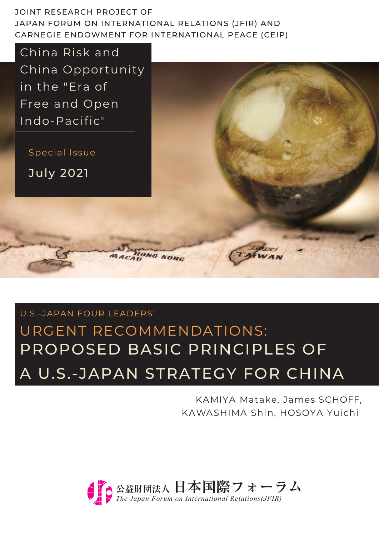JOINT RESEARCH PROJECT OF JAPAN FORUM ON INTERNATIONAL RELATIONS (JFIR) AND CARNEGIE ENDOWMENT FOR INTERNATIONAL PEACE (CEIP)

China Risk and China Opportunity in the "Era of Free and Open Indo-Pacific"

Special Issue

July 2021

# PROPOSED BASIC PRINCIPLES OF A U.S.-JAPAN STRATEGY FOR CHINA U.S.-JAPAN FOUR LEADERS' URGENT RECOMMENDATIONS:

ONG KONC

KAMIYA Matake, James SCHOFF, KAWASHIMA Shin, HOSOYA Yuichi

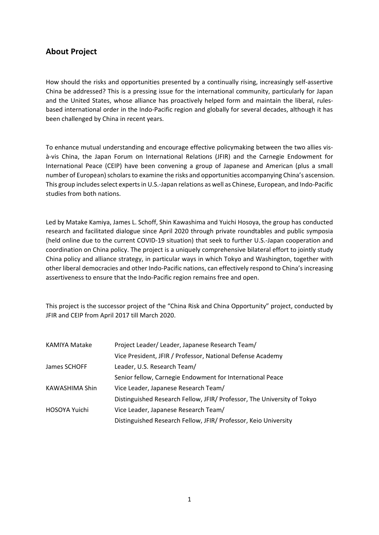#### **About Project**

How should the risks and opportunities presented by a continually rising, increasingly self-assertive China be addressed? This is a pressing issue for the international community, particularly for Japan and the United States, whose alliance has proactively helped form and maintain the liberal, rulesbased international order in the Indo-Pacific region and globally for several decades, although it has been challenged by China in recent years.

To enhance mutual understanding and encourage effective policymaking between the two allies visà-vis China, the Japan Forum on International Relations (JFIR) and the Carnegie Endowment for International Peace (CEIP) have been convening a group of Japanese and American (plus a small number of European) scholars to examine the risks and opportunities accompanying China's ascension. This group includes select experts in U.S.-Japan relations as well as Chinese, European, and Indo-Pacific studies from both nations.

Led by Matake Kamiya, James L. Schoff, Shin Kawashima and Yuichi Hosoya, the group has conducted research and facilitated dialogue since April 2020 through private roundtables and public symposia (held online due to the current COVID-19 situation) that seek to further U.S.-Japan cooperation and coordination on China policy. The project is a uniquely comprehensive bilateral effort to jointly study China policy and alliance strategy, in particular ways in which Tokyo and Washington, together with other liberal democracies and other Indo-Pacific nations, can effectively respond to China's increasing assertiveness to ensure that the Indo-Pacific region remains free and open.

This project is the successor project of the "China Risk and China Opportunity" project, conducted by JFIR and CEIP from April 2017 till March 2020.

| KAMIYA Matake  | Project Leader/ Leader, Japanese Research Team/                         |  |
|----------------|-------------------------------------------------------------------------|--|
|                | Vice President, JFIR / Professor, National Defense Academy              |  |
| James SCHOFF   | Leader, U.S. Research Team/                                             |  |
|                | Senior fellow, Carnegie Endowment for International Peace               |  |
| KAWASHIMA Shin | Vice Leader, Japanese Research Team/                                    |  |
|                | Distinguished Research Fellow, JFIR/ Professor, The University of Tokyo |  |
| HOSOYA Yuichi  | Vice Leader, Japanese Research Team/                                    |  |
|                | Distinguished Research Fellow, JFIR/ Professor, Keio University         |  |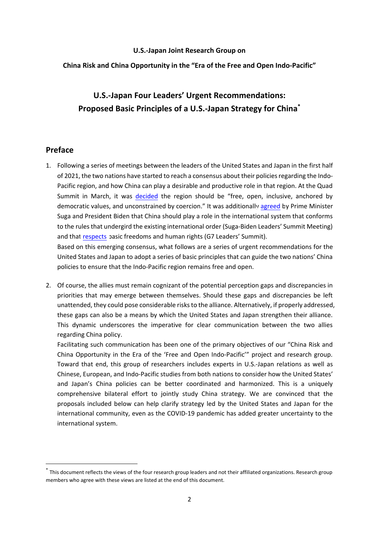#### **U.S.-Japan Joint Research Group on**

#### **China Risk and China Opportunity in the "Era of the Free and Open Indo-Pacific"**

# **U.S.-Japan Four Leaders' Urgent Recommendations: Proposed Basic Principles of a U.S.-Japan Strategy for China\***

#### **Preface**

1. Following a series of meetings between the leaders of the United States and Japan in the first half of 2021, the two nations have started to reach a consensus about their policies regarding the Indo-Pacific region, and how China can play a desirable and productive role in that region. At the Quad Summit in March, it was [decided](https://www.whitehouse.gov/briefing-room/statements-releases/2021/03/12/quad-leaders-joint-statement-the-spirit-of-the-quad/) the region should be "free, open, inclusive, anchored by democratic values, and unconstrained by coercion." It was additionally [agreed](https://www.whitehouse.gov/briefing-room/statements-releases/2021/04/16/u-s-japan-joint-leaders-statement-u-s-japan-global-partnership-for-a-new-era/) by Prime Minister Suga and President Biden that China should play a role in the international system that conforms to the rules that undergird the existing international order (Suga-Biden Leaders' Summit Meeting) and tha[t respects](https://www.whitehouse.gov/briefing-room/statements-releases/2021/06/13/carbis-bay-g7-summit-communique/) basic freedoms and human rights (G7 Leaders' Summit).

Based on this emerging consensus, what follows are a series of urgent recommendations for the United States and Japan to adopt a series of basic principles that can guide the two nations' China policies to ensure that the Indo-Pacific region remains free and open.

2. Of course, the allies must remain cognizant of the potential perception gaps and discrepancies in priorities that may emerge between themselves. Should these gaps and discrepancies be left unattended, they could pose considerable risks to the alliance. Alternatively, if properly addressed, these gaps can also be a means by which the United States and Japan strengthen their alliance. This dynamic underscores the imperative for clear communication between the two allies regarding China policy.

Facilitating such communication has been one of the primary objectives of our "China Risk and China Opportunity in the Era of the 'Free and Open Indo-Pacific'" project and research group. Toward that end, this group of researchers includes experts in U.S.-Japan relations as well as Chinese, European, and Indo-Pacific studies from both nations to consider how the United States' and Japan's China policies can be better coordinated and harmonized. This is a uniquely comprehensive bilateral effort to jointly study China strategy. We are convinced that the proposals included below can help clarify strategy led by the United States and Japan for the international community, even as the COVID-19 pandemic has added greater uncertainty to the international system.

<sup>\*</sup> This document reflects the views of the four research group leaders and not their affiliated organizations. Research group members who agree with these views are listed at the end of this document.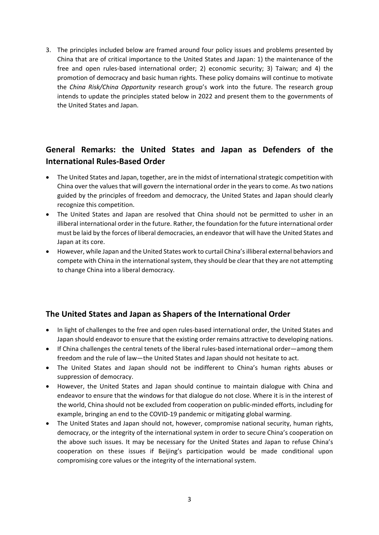3. The principles included below are framed around four policy issues and problems presented by China that are of critical importance to the United States and Japan: 1) the maintenance of the free and open rules-based international order; 2) economic security; 3) Taiwan; and 4) the promotion of democracy and basic human rights. These policy domains will continue to motivate the *China Risk/China Opportunity* research group's work into the future. The research group intends to update the principles stated below in 2022 and present them to the governments of the United States and Japan.

## **General Remarks: the United States and Japan as Defenders of the International Rules-Based Order**

- 9 The United States and Japan, together, are in the midst of international strategic competition with China over the values that will govern the international order in the years to come. As two nations guided by the principles of freedom and democracy, the United States and Japan should clearly recognize this competition.
- 9 The United States and Japan are resolved that China should not be permitted to usher in an illiberal international order in the future. Rather, the foundation for the future international order must be laid by the forces of liberal democracies, an endeavor that will have the United States and Japan at its core.
- However, while Japan and the United States work to curtail China's illiberal external behaviors and compete with China in the international system, they should be clear that they are not attempting to change China into a liberal democracy.

### **The United States and Japan as Shapers of the International Order**

- In light of challenges to the free and open rules-based international order, the United States and Japan should endeavor to ensure that the existing order remains attractive to developing nations.
- If China challenges the central tenets of the liberal rules-based international order—among them freedom and the rule of law—the United States and Japan should not hesitate to act.
- The United States and Japan should not be indifferent to China's human rights abuses or suppression of democracy.
- However, the United States and Japan should continue to maintain dialogue with China and endeavor to ensure that the windows for that dialogue do not close. Where it is in the interest of the world, China should not be excluded from cooperation on public-minded efforts, including for example, bringing an end to the COVID-19 pandemic or mitigating global warming.
- The United States and Japan should not, however, compromise national security, human rights, democracy, or the integrity of the international system in order to secure China's cooperation on the above such issues. It may be necessary for the United States and Japan to refuse China's cooperation on these issues if Beijing's participation would be made conditional upon compromising core values or the integrity of the international system.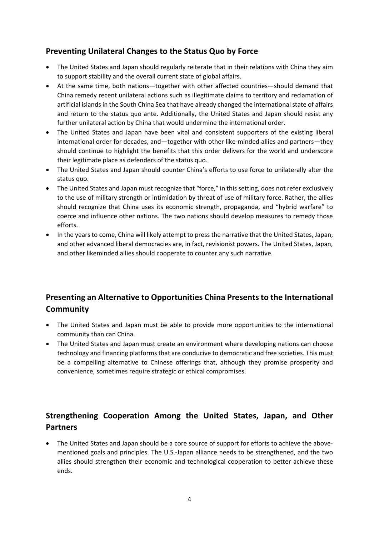### **Preventing Unilateral Changes to the Status Quo by Force**

- The United States and Japan should regularly reiterate that in their relations with China they aim to support stability and the overall current state of global affairs.
- At the same time, both nations—together with other affected countries—should demand that China remedy recent unilateral actions such as illegitimate claims to territory and reclamation of artificial islands in the South China Sea that have already changed the international state of affairs and return to the status quo ante. Additionally, the United States and Japan should resist any further unilateral action by China that would undermine the international order.
- The United States and Japan have been vital and consistent supporters of the existing liberal international order for decades, and—together with other like-minded allies and partners—they should continue to highlight the benefits that this order delivers for the world and underscore their legitimate place as defenders of the status quo.
- The United States and Japan should counter China's efforts to use force to unilaterally alter the status quo.
- The United States and Japan must recognize that "force," in this setting, does not refer exclusively to the use of military strength or intimidation by threat of use of military force. Rather, the allies should recognize that China uses its economic strength, propaganda, and "hybrid warfare" to coerce and influence other nations. The two nations should develop measures to remedy those efforts.
- In the years to come, China will likely attempt to press the narrative that the United States, Japan, and other advanced liberal democracies are, in fact, revisionist powers. The United States, Japan, and other likeminded allies should cooperate to counter any such narrative.

# **Presenting an Alternative to Opportunities China Presents to the International Community**

- The United States and Japan must be able to provide more opportunities to the international community than can China.
- The United States and Japan must create an environment where developing nations can choose technology and financing platforms that are conducive to democratic and free societies. This must be a compelling alternative to Chinese offerings that, although they promise prosperity and convenience, sometimes require strategic or ethical compromises.

# **Strengthening Cooperation Among the United States, Japan, and Other Partners**

 The United States and Japan should be a core source of support for efforts to achieve the abovementioned goals and principles. The U.S.-Japan alliance needs to be strengthened, and the two allies should strengthen their economic and technological cooperation to better achieve these ends.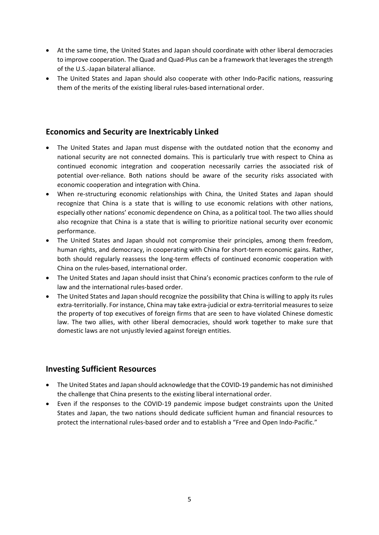- At the same time, the United States and Japan should coordinate with other liberal democracies to improve cooperation. The Quad and Quad-Plus can be a framework that leverages the strength of the U.S.-Japan bilateral alliance.
- The United States and Japan should also cooperate with other Indo-Pacific nations, reassuring them of the merits of the existing liberal rules-based international order.

#### **Economics and Security are Inextricably Linked**

- D The United States and Japan must dispense with the outdated notion that the economy and national security are not connected domains. This is particularly true with respect to China as continued economic integration and cooperation necessarily carries the associated risk of potential over-reliance. Both nations should be aware of the security risks associated with economic cooperation and integration with China.
- When re-structuring economic relationships with China, the United States and Japan should recognize that China is a state that is willing to use economic relations with other nations, especially other nations' economic dependence on China, as a political tool. The two allies should also recognize that China is a state that is willing to prioritize national security over economic performance.
- 9 The United States and Japan should not compromise their principles, among them freedom, human rights, and democracy, in cooperating with China for short-term economic gains. Rather, both should regularly reassess the long-term effects of continued economic cooperation with China on the rules-based, international order.
- The United States and Japan should insist that China's economic practices conform to the rule of law and the international rules-based order.
- The United States and Japan should recognize the possibility that China is willing to apply its rules extra-territorially. For instance, China may take extra-judicial or extra-territorial measures to seize the property of top executives of foreign firms that are seen to have violated Chinese domestic law. The two allies, with other liberal democracies, should work together to make sure that domestic laws are not unjustly levied against foreign entities.

#### **Investing Sufficient Resources**

- The United States and Japan should acknowledge that the COVID-19 pandemic has not diminished the challenge that China presents to the existing liberal international order.
- Even if the responses to the COVID-19 pandemic impose budget constraints upon the United States and Japan, the two nations should dedicate sufficient human and financial resources to protect the international rules-based order and to establish a "Free and Open Indo-Pacific."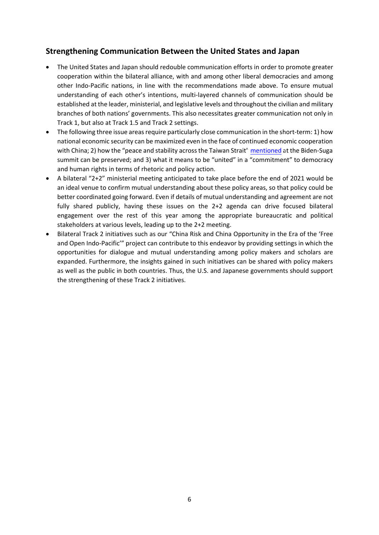#### **Strengthening Communication Between the United States and Japan**

- The United States and Japan should redouble communication efforts in order to promote greater cooperation within the bilateral alliance, with and among other liberal democracies and among other Indo-Pacific nations, in line with the recommendations made above. To ensure mutual understanding of each other's intentions, multi-layered channels of communication should be established at the leader, ministerial, and legislative levels and throughout the civilian and military branches of both nations' governments. This also necessitates greater communication not only in Track 1, but also at Track 1.5 and Track 2 settings.
- The following three issue areas require particularly close communication in the short-term: 1) how national economic security can be maximized even in the face of continued economic cooperation with China; 2) how the "peace and stability across the Taiwan Strait[" mentioned](https://www.whitehouse.gov/briefing-room/statements-releases/2021/04/16/u-s-japan-joint-leaders-statement-u-s-japan-global-partnership-for-a-new-era/) at the Biden-Suga summit can be preserved; and 3) what it means to be "united" in a "commitment" to democracy and human rights in terms of rhetoric and policy action.
- ٥ A bilateral "2+2" ministerial meeting anticipated to take place before the end of 2021 would be an ideal venue to confirm mutual understanding about these policy areas, so that policy could be better coordinated going forward. Even if details of mutual understanding and agreement are not fully shared publicly, having these issues on the 2+2 agenda can drive focused bilateral engagement over the rest of this year among the appropriate bureaucratic and political stakeholders at various levels, leading up to the 2+2 meeting.
- 9 Bilateral Track 2 initiatives such as our "China Risk and China Opportunity in the Era of the 'Free and Open Indo-Pacific'" project can contribute to this endeavor by providing settings in which the opportunities for dialogue and mutual understanding among policy makers and scholars are expanded. Furthermore, the insights gained in such initiatives can be shared with policy makers as well as the public in both countries. Thus, the U.S. and Japanese governments should support the strengthening of these Track 2 initiatives.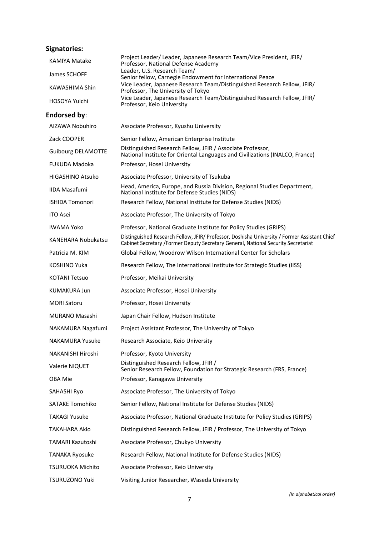# **Signatories:**

| Signatories:   |                                                                                                                |
|----------------|----------------------------------------------------------------------------------------------------------------|
| KAMIYA Matake  | Project Leader/ Leader, Japanese Research Team/Vice President, JFIR/<br>Professor, National Defense Academy    |
| James SCHOFF   | Leader, U.S. Research Team/<br>Senior fellow, Carnegie Endowment for International Peace                       |
| KAWASHIMA Shin | Vice Leader, Japanese Research Team/Distinguished Research Fellow, JFIR/<br>Professor, The University of Tokyo |
| HOSOYA Yuichi  | Vice Leader, Japanese Research Team/Distinguished Research Fellow, JFIR/<br>Professor, Keio University         |
| Endorsed by:   |                                                                                                                |

| AIZAWA Nobuhiro           | Associate Professor, Kyushu University                                                                                                                                            |  |  |
|---------------------------|-----------------------------------------------------------------------------------------------------------------------------------------------------------------------------------|--|--|
| Zack COOPER               | Senior Fellow, American Enterprise Institute                                                                                                                                      |  |  |
| <b>Guibourg DELAMOTTE</b> | Distinguished Research Fellow, JFIR / Associate Professor,<br>National Institute for Oriental Languages and Civilizations (INALCO, France)                                        |  |  |
| <b>FUKUDA Madoka</b>      | Professor, Hosei University                                                                                                                                                       |  |  |
| <b>HIGASHINO Atsuko</b>   | Associate Professor, University of Tsukuba                                                                                                                                        |  |  |
| <b>IIDA Masafumi</b>      | Head, America, Europe, and Russia Division, Regional Studies Department,<br>National Institute for Defense Studies (NIDS)                                                         |  |  |
| <b>ISHIDA Tomonori</b>    | Research Fellow, National Institute for Defense Studies (NIDS)                                                                                                                    |  |  |
| <b>ITO Asei</b>           | Associate Professor, The University of Tokyo                                                                                                                                      |  |  |
| IWAMA Yoko                | Professor, National Graduate Institute for Policy Studies (GRIPS)                                                                                                                 |  |  |
| KANEHARA Nobukatsu        | Distinguished Research Fellow, JFIR/ Professor, Doshisha University / Former Assistant Chief<br>Cabinet Secretary /Former Deputy Secretary General, National Security Secretariat |  |  |
| Patricia M. KIM           | Global Fellow, Woodrow Wilson International Center for Scholars                                                                                                                   |  |  |
| KOSHINO Yuka              | Research Fellow, The International Institute for Strategic Studies (IISS)                                                                                                         |  |  |
| <b>KOTANI Tetsuo</b>      | Professor, Meikai University                                                                                                                                                      |  |  |
| <b>KUMAKURA Jun</b>       | Associate Professor, Hosei University                                                                                                                                             |  |  |
| <b>MORI Satoru</b>        | Professor, Hosei University                                                                                                                                                       |  |  |
| MURANO Masashi            | Japan Chair Fellow, Hudson Institute                                                                                                                                              |  |  |
| NAKAMURA Nagafumi         | Project Assistant Professor, The University of Tokyo                                                                                                                              |  |  |
| <b>NAKAMURA Yusuke</b>    | Research Associate, Keio University                                                                                                                                               |  |  |
| NAKANISHI Hiroshi         | Professor, Kyoto University                                                                                                                                                       |  |  |
| Valerie NIQUET            | Distinguished Research Fellow, JFIR /<br>Senior Research Fellow, Foundation for Strategic Research (FRS, France)                                                                  |  |  |
| OBA Mie                   | Professor, Kanagawa University                                                                                                                                                    |  |  |
| SAHASHI Ryo               | Associate Professor, The University of Tokyo                                                                                                                                      |  |  |
| <b>SATAKE Tomohiko</b>    | Senior Fellow, National Institute for Defense Studies (NIDS)                                                                                                                      |  |  |
| <b>TAKAGI Yusuke</b>      | Associate Professor, National Graduate Institute for Policy Studies (GRIPS)                                                                                                       |  |  |
| TAKAHARA Akio             | Distinguished Research Fellow, JFIR / Professor, The University of Tokyo                                                                                                          |  |  |
| TAMARI Kazutoshi          | Associate Professor, Chukyo University                                                                                                                                            |  |  |
| <b>TANAKA Ryosuke</b>     | Research Fellow, National Institute for Defense Studies (NIDS)                                                                                                                    |  |  |
| TSURUOKA Michito          | Associate Professor, Keio University                                                                                                                                              |  |  |
| TSURUZONO Yuki            | Visiting Junior Researcher, Waseda University                                                                                                                                     |  |  |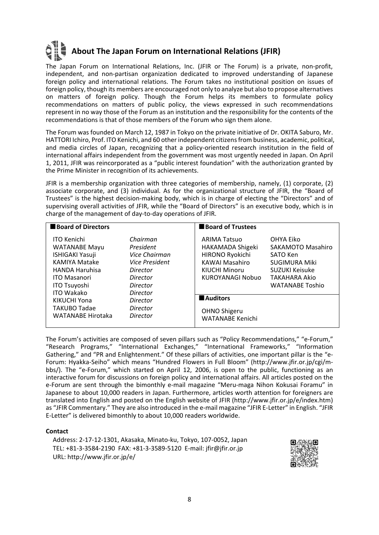# **About The Japan Forum on International Relations (JFIR)**

The Japan Forum on International Relations, Inc. (JFIR or The Forum) is a private, non-profit, independent, and non-partisan organization dedicated to improved understanding of Japanese foreign policy and international relations. The Forum takes no institutional position on issues of foreign policy, though its members are encouraged not only to analyze but also to propose alternatives on matters of foreign policy. Though the Forum helps its members to formulate policy recommendations on matters of public policy, the views expressed in such recommendations represent in no way those of the Forum as an institution and the responsibility for the contents of the recommendations is that of those members of the Forum who sign them alone.

The Forum was founded on March 12, 1987 in Tokyo on the private initiative of Dr. OKITA Saburo, Mr. HATTORI Ichiro, Prof. ITO Kenichi, and 60 other independent citizens from business, academic, political, and media circles of Japan, recognizing that a policy-oriented research institution in the field of international affairs independent from the government was most urgently needed in Japan. On April 1, 2011, JFIR was reincorporated as a "public interest foundation" with the authorization granted by the Prime Minister in recognition of its achievements.

JFIR is a membership organization with three categories of membership, namely, (1) corporate, (2) associate corporate, and (3) individual. As for the organizational structure of JFIR, the "Board of Trustees" is the highest decision-making body, which is in charge of electing the "Directors" and of supervising overall activities of JFIR, while the "Board of Directors" is an executive body, which is in charge of the management of day-to-day operations of JFIR.

| <b>Board of Directors</b>                                                                                                                                    |                                                                                              | <b>Board of Trustees</b>                                                                                                 |                                                                                                                                               |
|--------------------------------------------------------------------------------------------------------------------------------------------------------------|----------------------------------------------------------------------------------------------|--------------------------------------------------------------------------------------------------------------------------|-----------------------------------------------------------------------------------------------------------------------------------------------|
| <b>ITO Kenichi</b><br><b>WATANABE Mayu</b><br><b>ISHIGAKI Yasuji</b><br>KAMIYA Matake<br><b>HANDA Haruhisa</b><br><b>ITO Masanori</b><br><b>ITO Tsuyoshi</b> | Chairman<br>President<br>Vice Chairman<br>Vice President<br>Director<br>Director<br>Director | <b>ARIMA Tatsuo</b><br>HAKAMADA Shigeki<br>HIRONO Ryokichi<br><b>KAWAI Masahiro</b><br>KIUCHI Minoru<br>KUROYANAGI Nobuo | OHYA Eiko<br>SAKAMOTO Masahiro<br>SATO Ken<br><b>SUGIMURA Miki</b><br><b>SUZUKI Keisuke</b><br><b>TAKAHARA Akio</b><br><b>WATANABE Toshio</b> |
| <b>ITO Wakako</b><br>KIKUCHI Yona<br><b>TAKUBO Tadae</b><br><b>WATANABE Hirotaka</b>                                                                         | <b>Director</b><br>Director<br>Director<br>Director                                          | <b>Auditors</b><br>OHNO Shigeru<br><b>WATANABE Kenichi</b>                                                               |                                                                                                                                               |

The Forum's activities are composed of seven pillars such as "Policy Recommendations," "e-Forum," "Research Programs," "International Exchanges," "International Frameworks," "Information Gathering," and "PR and Enlightenment." Of these pillars of activities, one important pillar is the "e-Forum: Hyakka-Seiho" which means "Hundred Flowers in Full Bloom" (http://www.jfir.or.jp/cgi/mbbs/). The "e-Forum," which started on April 12, 2006, is open to the public, functioning as an interactive forum for discussions on foreign policy and international affairs. All articles posted on the e-Forum are sent through the bimonthly e-mail magazine "Meru-maga Nihon Kokusai Foramu" in Japanese to about 10,000 readers in Japan. Furthermore, articles worth attention for foreigners are translated into English and posted on the English website of JFIR (http://www.jfir.or.jp/e/index.htm) as "JFIR Commentary." They are also introduced in the e-mail magazine "JFIR E-Letter" in English. "JFIR E-Letter" is delivered bimonthly to about 10,000 readers worldwide.

#### **Contact**

Address: 2-17-12-1301, Akasaka, Minato-ku, Tokyo, 107-0052, Japan TEL: +81-3-3584-2190 FAX: +81-3-3589-5120 E-mail: jfir@jfir.or.jp URL: http://www.jfir.or.jp/e/